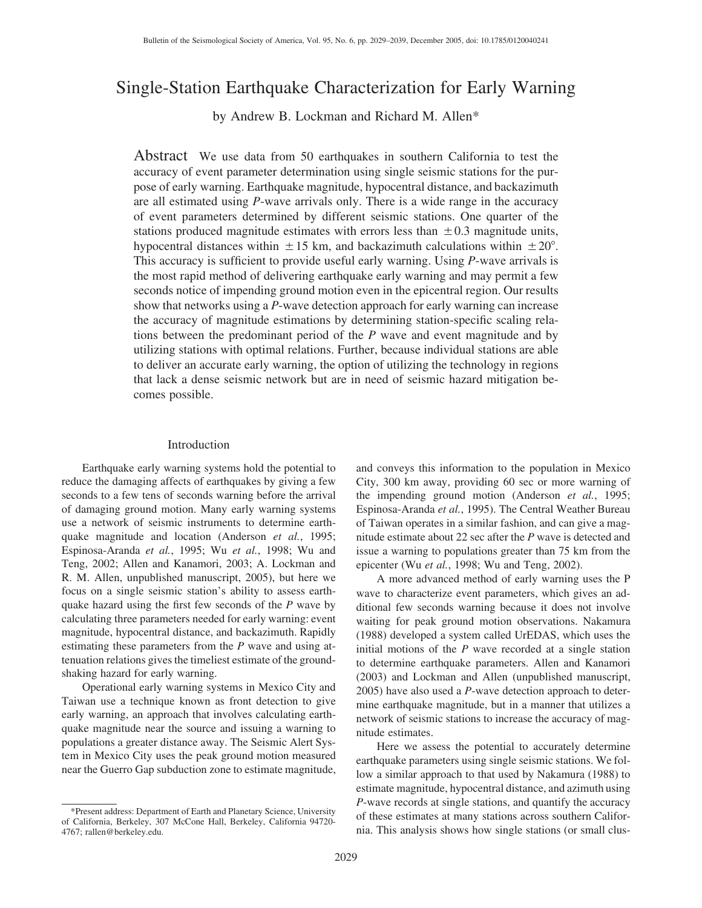# Single-Station Earthquake Characterization for Early Warning

by Andrew B. Lockman and Richard M. Allen\*

Abstract We use data from 50 earthquakes in southern California to test the accuracy of event parameter determination using single seismic stations for the purpose of early warning. Earthquake magnitude, hypocentral distance, and backazimuth are all estimated using *P*-wave arrivals only. There is a wide range in the accuracy of event parameters determined by different seismic stations. One quarter of the stations produced magnitude estimates with errors less than  $\pm 0.3$  magnitude units, hypocentral distances within  $\pm 15$  km, and backazimuth calculations within  $\pm 20^{\circ}$ . This accuracy is sufficient to provide useful early warning. Using *P*-wave arrivals is the most rapid method of delivering earthquake early warning and may permit a few seconds notice of impending ground motion even in the epicentral region. Our results show that networks using a *P*-wave detection approach for early warning can increase the accuracy of magnitude estimations by determining station-specific scaling relations between the predominant period of the *P* wave and event magnitude and by utilizing stations with optimal relations. Further, because individual stations are able to deliver an accurate early warning, the option of utilizing the technology in regions that lack a dense seismic network but are in need of seismic hazard mitigation becomes possible.

## Introduction

Earthquake early warning systems hold the potential to reduce the damaging affects of earthquakes by giving a few seconds to a few tens of seconds warning before the arrival of damaging ground motion. Many early warning systems use a network of seismic instruments to determine earthquake magnitude and location (Anderson *et al.*, 1995; Espinosa-Aranda *et al.*, 1995; Wu *et al.*, 1998; Wu and Teng, 2002; Allen and Kanamori, 2003; A. Lockman and R. M. Allen, unpublished manuscript, 2005), but here we focus on a single seismic station's ability to assess earthquake hazard using the first few seconds of the *P* wave by calculating three parameters needed for early warning: event magnitude, hypocentral distance, and backazimuth. Rapidly estimating these parameters from the *P* wave and using attenuation relations gives the timeliest estimate of the groundshaking hazard for early warning.

Operational early warning systems in Mexico City and Taiwan use a technique known as front detection to give early warning, an approach that involves calculating earthquake magnitude near the source and issuing a warning to populations a greater distance away. The Seismic Alert System in Mexico City uses the peak ground motion measured near the Guerro Gap subduction zone to estimate magnitude, and conveys this information to the population in Mexico City, 300 km away, providing 60 sec or more warning of the impending ground motion (Anderson *et al.*, 1995; Espinosa-Aranda *et al.*, 1995). The Central Weather Bureau of Taiwan operates in a similar fashion, and can give a magnitude estimate about 22 sec after the *P* wave is detected and issue a warning to populations greater than 75 km from the epicenter (Wu *et al.*, 1998; Wu and Teng, 2002).

A more advanced method of early warning uses the P wave to characterize event parameters, which gives an additional few seconds warning because it does not involve waiting for peak ground motion observations. Nakamura (1988) developed a system called UrEDAS, which uses the initial motions of the *P* wave recorded at a single station to determine earthquake parameters. Allen and Kanamori (2003) and Lockman and Allen (unpublished manuscript, 2005) have also used a *P*-wave detection approach to determine earthquake magnitude, but in a manner that utilizes a network of seismic stations to increase the accuracy of magnitude estimates.

Here we assess the potential to accurately determine earthquake parameters using single seismic stations. We follow a similar approach to that used by Nakamura (1988) to estimate magnitude, hypocentral distance, and azimuth using *P*-wave records at single stations, and quantify the accuracy of these estimates at many stations across southern California. This analysis shows how single stations (or small clus-

<sup>\*</sup>Present address: Department of Earth and Planetary Science, University of California, Berkeley, 307 McCone Hall, Berkeley, California 94720- 4767; rallen@berkeley.edu.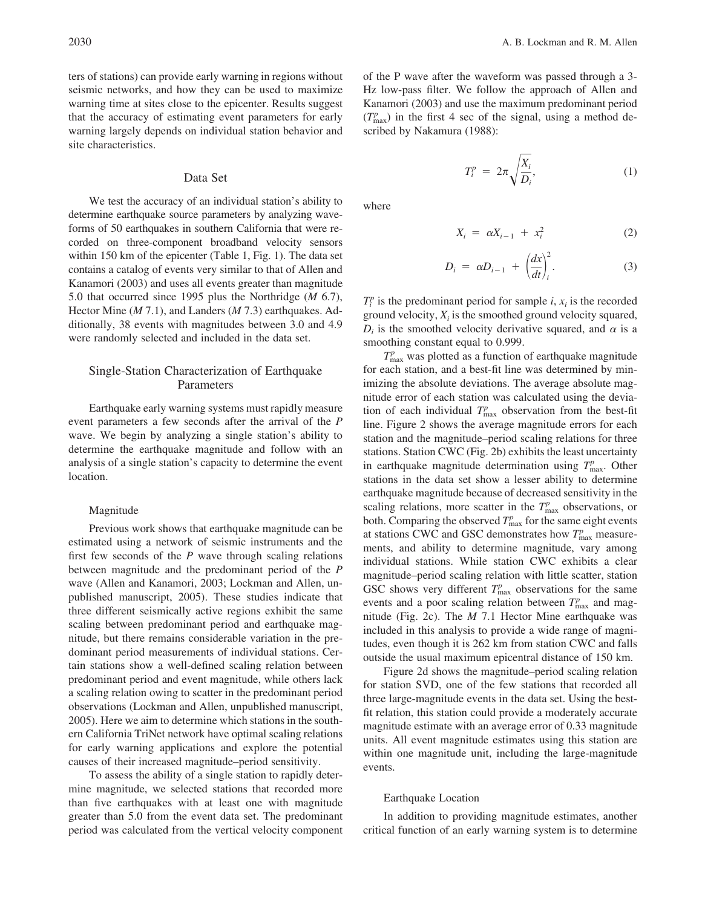ters of stations) can provide early warning in regions without seismic networks, and how they can be used to maximize warning time at sites close to the epicenter. Results suggest that the accuracy of estimating event parameters for early warning largely depends on individual station behavior and site characteristics.

### Data Set

We test the accuracy of an individual station's ability to determine earthquake source parameters by analyzing waveforms of 50 earthquakes in southern California that were recorded on three-component broadband velocity sensors within 150 km of the epicenter (Table 1, Fig. 1). The data set contains a catalog of events very similar to that of Allen and Kanamori (2003) and uses all events greater than magnitude 5.0 that occurred since 1995 plus the Northridge (*M* 6.7), Hector Mine (*M* 7.1), and Landers (*M* 7.3) earthquakes. Additionally, 38 events with magnitudes between 3.0 and 4.9 were randomly selected and included in the data set.

# Single-Station Characterization of Earthquake Parameters

Earthquake early warning systems must rapidly measure event parameters a few seconds after the arrival of the *P* wave. We begin by analyzing a single station's ability to determine the earthquake magnitude and follow with an analysis of a single station's capacity to determine the event location.

#### Magnitude

Previous work shows that earthquake magnitude can be estimated using a network of seismic instruments and the first few seconds of the *P* wave through scaling relations between magnitude and the predominant period of the *P* wave (Allen and Kanamori, 2003; Lockman and Allen, unpublished manuscript, 2005). These studies indicate that three different seismically active regions exhibit the same scaling between predominant period and earthquake magnitude, but there remains considerable variation in the predominant period measurements of individual stations. Certain stations show a well-defined scaling relation between predominant period and event magnitude, while others lack a scaling relation owing to scatter in the predominant period observations (Lockman and Allen, unpublished manuscript, 2005). Here we aim to determine which stations in the southern California TriNet network have optimal scaling relations for early warning applications and explore the potential causes of their increased magnitude–period sensitivity.

To assess the ability of a single station to rapidly determine magnitude, we selected stations that recorded more than five earthquakes with at least one with magnitude greater than 5.0 from the event data set. The predominant period was calculated from the vertical velocity component of the P wave after the waveform was passed through a 3- Hz low-pass filter. We follow the approach of Allen and Kanamori (2003) and use the maximum predominant period  $(T<sup>p</sup><sub>max</sub>)$  in the first 4 sec of the signal, using a method described by Nakamura (1988):

$$
T_i^p = 2\pi \sqrt{\frac{X_i}{D_i}},\tag{1}
$$

where

$$
X_i = \alpha X_{i-1} + x_i^2 \tag{2}
$$

$$
D_i = \alpha D_{i-1} + \left(\frac{dx}{dt}\right)_i^2.
$$
 (3)

 $T_i^p$  is the predominant period for sample *i*,  $x_i$  is the recorded ground velocity,  $X_i$  is the smoothed ground velocity squared,  $D_i$  is the smoothed velocity derivative squared, and  $\alpha$  is a smoothing constant equal to 0.999.

 $T_{\text{max}}^p$  was plotted as a function of earthquake magnitude for each station, and a best-fit line was determined by minimizing the absolute deviations. The average absolute magnitude error of each station was calculated using the deviation of each individual  $T_{\text{max}}^p$  observation from the best-fit line. Figure 2 shows the average magnitude errors for each station and the magnitude–period scaling relations for three stations. Station CWC (Fig. 2b) exhibits the least uncertainty in earthquake magnitude determination using  $T_{\text{max}}^p$ . Other stations in the data set show a lesser ability to determine earthquake magnitude because of decreased sensitivity in the scaling relations, more scatter in the  $T_{\text{max}}^p$  observations, or both. Comparing the observed  $T_{\text{max}}^p$  for the same eight events at stations CWC and GSC demonstrates how  $T_{\text{max}}^p$  measurements, and ability to determine magnitude, vary among individual stations. While station CWC exhibits a clear magnitude–period scaling relation with little scatter, station GSC shows very different  $T_{\text{max}}^p$  observations for the same events and a poor scaling relation between  $T_{\text{max}}^p$  and magnitude (Fig. 2c). The *M* 7.1 Hector Mine earthquake was included in this analysis to provide a wide range of magnitudes, even though it is 262 km from station CWC and falls outside the usual maximum epicentral distance of 150 km.

Figure 2d shows the magnitude–period scaling relation for station SVD, one of the few stations that recorded all three large-magnitude events in the data set. Using the bestfit relation, this station could provide a moderately accurate magnitude estimate with an average error of 0.33 magnitude units. All event magnitude estimates using this station are within one magnitude unit, including the large-magnitude events.

#### Earthquake Location

In addition to providing magnitude estimates, another critical function of an early warning system is to determine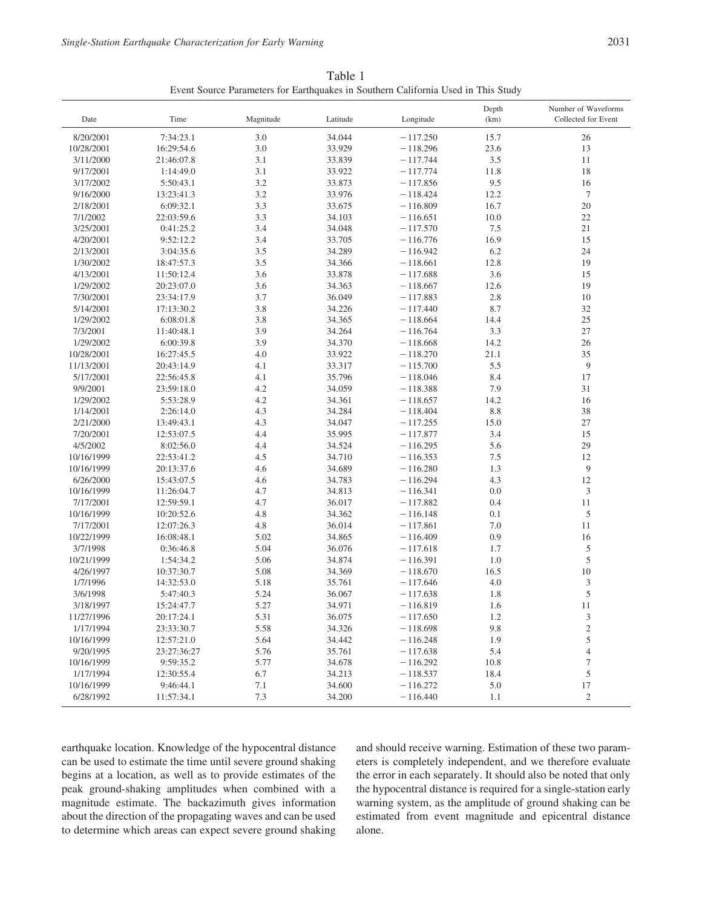Table 1 Event Source Parameters for Earthquakes in Southern California Used in This Study

| Date       | Time        | Magnitude | Latitude | Longitude  | Depth<br>(km) | Number of Waveforms<br>Collected for Event |
|------------|-------------|-----------|----------|------------|---------------|--------------------------------------------|
| 8/20/2001  | 7:34:23.1   | 3.0       | 34.044   | $-117.250$ | 15.7          | $26\,$                                     |
| 10/28/2001 | 16:29:54.6  | 3.0       | 33.929   | $-118.296$ | 23.6          | 13                                         |
| 3/11/2000  | 21:46:07.8  | 3.1       | 33.839   | $-117.744$ | 3.5           | $11\,$                                     |
| 9/17/2001  | 1:14:49.0   | 3.1       | 33.922   | $-117.774$ | 11.8          | 18                                         |
| 3/17/2002  | 5:50:43.1   | 3.2       | 33.873   | $-117.856$ | 9.5           | 16                                         |
| 9/16/2000  | 13:23:41.3  | 3.2       | 33.976   | $-118.424$ | 12.2          | $\boldsymbol{7}$                           |
| 2/18/2001  | 6:09:32.1   | 3.3       | 33.675   | $-116.809$ | 16.7          | $20\,$                                     |
| 7/1/2002   | 22:03:59.6  | 3.3       | 34.103   | $-116.651$ | 10.0          | 22                                         |
| 3/25/2001  | 0:41:25.2   | 3.4       | 34.048   | $-117.570$ | 7.5           | $21\,$                                     |
| 4/20/2001  | 9:52:12.2   | 3.4       | 33.705   | $-116.776$ | 16.9          | 15                                         |
| 2/13/2001  | 3:04:35.6   | 3.5       | 34.289   | $-116.942$ | 6.2           | 24                                         |
| 1/30/2002  | 18:47:57.3  | 3.5       | 34.366   | $-118.661$ | 12.8          | 19                                         |
| 4/13/2001  | 11:50:12.4  | 3.6       | 33.878   | $-117.688$ | 3.6           | 15                                         |
| 1/29/2002  | 20:23:07.0  | 3.6       | 34.363   | $-118.667$ | 12.6          | 19                                         |
| 7/30/2001  | 23:34:17.9  | 3.7       | 36.049   | $-117.883$ | 2.8           | 10                                         |
| 5/14/2001  | 17:13:30.2  | 3.8       | 34.226   | $-117.440$ | 8.7           | 32                                         |
| 1/29/2002  | 6:08:01.8   | 3.8       | 34.365   | $-118.664$ | 14.4          | $25\,$                                     |
| 7/3/2001   | 11:40:48.1  | 3.9       | 34.264   | $-116.764$ | 3.3           | 27                                         |
| 1/29/2002  | 6:00:39.8   | 3.9       | 34.370   | $-118.668$ | 14.2          | 26                                         |
| 10/28/2001 | 16:27:45.5  | 4.0       | 33.922   | $-118.270$ | 21.1          | 35                                         |
| 11/13/2001 | 20:43:14.9  | 4.1       | 33.317   | $-115.700$ | 5.5           | $\boldsymbol{9}$                           |
| 5/17/2001  | 22:56:45.8  | 4.1       | 35.796   | $-118.046$ | 8.4           | $17\,$                                     |
| 9/9/2001   | 23:59:18.0  | 4.2       | 34.059   | $-118.388$ | 7.9           | 31                                         |
| 1/29/2002  | 5:53:28.9   | 4.2       | 34.361   | $-118.657$ | 14.2          | 16                                         |
| 1/14/2001  | 2:26:14.0   | 4.3       | 34.284   | $-118.404$ | 8.8           | 38                                         |
| 2/21/2000  | 13:49:43.1  | 4.3       | 34.047   | $-117.255$ | 15.0          | $27\,$                                     |
| 7/20/2001  | 12:53:07.5  | 4.4       | 35.995   | $-117.877$ | 3.4           | 15                                         |
| 4/5/2002   | 8:02:56.0   | 4.4       | 34.524   | $-116.295$ | 5.6           | 29                                         |
| 10/16/1999 | 22:53:41.2  | 4.5       | 34.710   | $-116.353$ | 7.5           | 12                                         |
| 10/16/1999 | 20:13:37.6  | 4.6       | 34.689   | $-116.280$ | 1.3           | $\boldsymbol{9}$                           |
| 6/26/2000  | 15:43:07.5  | 4.6       | 34.783   | $-116.294$ | 4.3           | 12                                         |
| 10/16/1999 | 11:26:04.7  | 4.7       | 34.813   | $-116.341$ | 0.0           | $\ensuremath{\mathfrak{Z}}$                |
| 7/17/2001  | 12:59:59.1  | 4.7       | 36.017   | $-117.882$ | 0.4           | 11                                         |
| 10/16/1999 | 10:20:52.6  | 4.8       | 34.362   | $-116.148$ | 0.1           | 5                                          |
| 7/17/2001  | 12:07:26.3  | 4.8       | 36.014   | $-117.861$ | 7.0           | $11\,$                                     |
| 10/22/1999 | 16:08:48.1  | 5.02      | 34.865   | $-116.409$ | 0.9           | 16                                         |
| 3/7/1998   | 0:36:46.8   | 5.04      | 36.076   | $-117.618$ | 1.7           | $\sqrt{5}$                                 |
| 10/21/1999 | 1:54:34.2   | 5.06      | 34.874   | $-116.391$ | 1.0           | $\mathfrak s$                              |
| 4/26/1997  | 10:37:30.7  | 5.08      | 34.369   | $-118.670$ | 16.5          | $10\,$                                     |
| 1/7/1996   | 14:32:53.0  | 5.18      | 35.761   | $-117.646$ | 4.0           | $\ensuremath{\mathfrak{Z}}$                |
| 3/6/1998   | 5:47:40.3   | 5.24      | 36.067   | $-117.638$ | 1.8           | $\mathfrak s$                              |
| 3/18/1997  | 15:24:47.7  | 5.27      | 34.971   | $-116.819$ | 1.6           | 11                                         |
| 11/27/1996 | 20:17:24.1  | 5.31      | 36.075   | $-117.650$ | 1.2           | 3                                          |
| 1/17/1994  | 23:33:30.7  | 5.58      | 34.326   | $-118.698$ | 9.8           | $\sqrt{2}$                                 |
| 10/16/1999 | 12:57:21.0  | 5.64      | 34.442   | $-116.248$ | 1.9           | 5                                          |
| 9/20/1995  | 23:27:36:27 | 5.76      | 35.761   | $-117.638$ | 5.4           | $\overline{4}$                             |
| 10/16/1999 | 9:59:35.2   | 5.77      | 34.678   | $-116.292$ | 10.8          | $\boldsymbol{7}$                           |
| 1/17/1994  | 12:30:55.4  | 6.7       | 34.213   | $-118.537$ | 18.4          | $\sqrt{5}$                                 |
| 10/16/1999 | 9:46:44.1   | 7.1       | 34.600   | $-116.272$ | 5.0           | $17\,$                                     |
| 6/28/1992  | 11:57:34.1  | 7.3       | 34.200   | $-116.440$ | 1.1           | $\mathfrak{2}$                             |

earthquake location. Knowledge of the hypocentral distance can be used to estimate the time until severe ground shaking begins at a location, as well as to provide estimates of the peak ground-shaking amplitudes when combined with a magnitude estimate. The backazimuth gives information about the direction of the propagating waves and can be used to determine which areas can expect severe ground shaking and should receive warning. Estimation of these two parameters is completely independent, and we therefore evaluate the error in each separately. It should also be noted that only the hypocentral distance is required for a single-station early warning system, as the amplitude of ground shaking can be estimated from event magnitude and epicentral distance alone.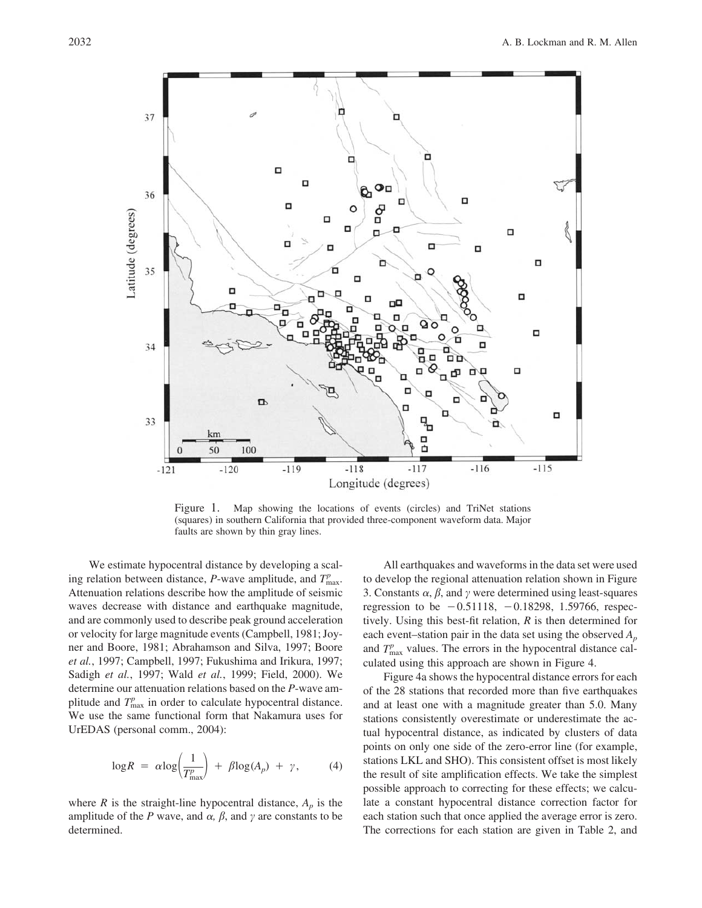

Figure 1. Map showing the locations of events (circles) and TriNet stations (squares) in southern California that provided three-component waveform data. Major faults are shown by thin gray lines.

We estimate hypocentral distance by developing a scaling relation between distance,  $P$ -wave amplitude, and  $T_{\text{max}}^p$ . Attenuation relations describe how the amplitude of seismic waves decrease with distance and earthquake magnitude, and are commonly used to describe peak ground acceleration or velocity for large magnitude events (Campbell, 1981; Joyner and Boore, 1981; Abrahamson and Silva, 1997; Boore *et al.*, 1997; Campbell, 1997; Fukushima and Irikura, 1997; Sadigh *et al.*, 1997; Wald *et al.*, 1999; Field, 2000). We determine our attenuation relations based on the *P*-wave amplitude and  $T_{\text{max}}^p$  in order to calculate hypocentral distance. We use the same functional form that Nakamura uses for UrEDAS (personal comm., 2004):

$$
\log R = \alpha \log \left( \frac{1}{T_{\text{max}}^p} \right) + \beta \log(A_p) + \gamma, \tag{4}
$$

where *R* is the straight-line hypocentral distance,  $A_p$  is the amplitude of the *P* wave, and  $\alpha$ ,  $\beta$ , and  $\gamma$  are constants to be determined.

All earthquakes and waveforms in the data set were used to develop the regional attenuation relation shown in Figure 3. Constants  $\alpha$ ,  $\beta$ , and  $\gamma$  were determined using least-squares regression to be  $-0.51118$ ,  $-0.18298$ , 1.59766, respectively. Using this best-fit relation, *R* is then determined for each event–station pair in the data set using the observed *Ap* and  $T_{\text{max}}^p$  values. The errors in the hypocentral distance calculated using this approach are shown in Figure 4.

Figure 4a shows the hypocentral distance errors for each of the 28 stations that recorded more than five earthquakes and at least one with a magnitude greater than 5.0. Many stations consistently overestimate or underestimate the actual hypocentral distance, as indicated by clusters of data points on only one side of the zero-error line (for example, stations LKL and SHO). This consistent offset is most likely the result of site amplification effects. We take the simplest possible approach to correcting for these effects; we calculate a constant hypocentral distance correction factor for each station such that once applied the average error is zero. The corrections for each station are given in Table 2, and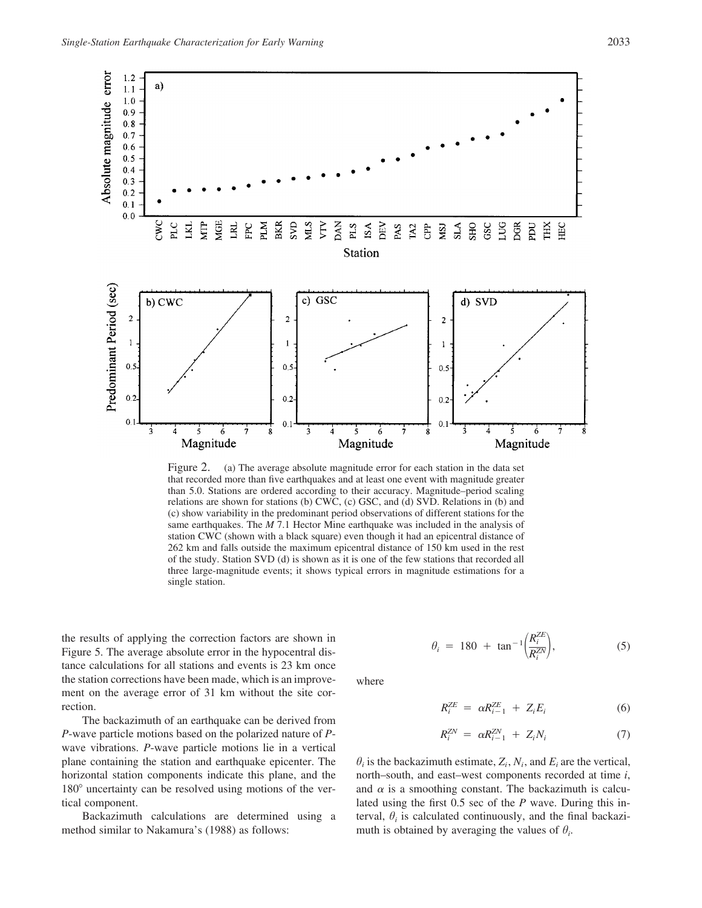

Figure 2. (a) The average absolute magnitude error for each station in the data set that recorded more than five earthquakes and at least one event with magnitude greater than 5.0. Stations are ordered according to their accuracy. Magnitude–period scaling relations are shown for stations (b) CWC, (c) GSC, and (d) SVD. Relations in (b) and (c) show variability in the predominant period observations of different stations for the same earthquakes. The *M* 7.1 Hector Mine earthquake was included in the analysis of station CWC (shown with a black square) even though it had an epicentral distance of 262 km and falls outside the maximum epicentral distance of 150 km used in the rest of the study. Station SVD (d) is shown as it is one of the few stations that recorded all three large-magnitude events; it shows typical errors in magnitude estimations for a single station.

the results of applying the correction factors are shown in Figure 5. The average absolute error in the hypocentral distance calculations for all stations and events is 23 km once the station corrections have been made, which is an improvement on the average error of 31 km without the site correction.

The backazimuth of an earthquake can be derived from *P*-wave particle motions based on the polarized nature of *P*wave vibrations. *P*-wave particle motions lie in a vertical plane containing the station and earthquake epicenter. The horizontal station components indicate this plane, and the  $180^\circ$  uncertainty can be resolved using motions of the vertical component.

Backazimuth calculations are determined using a method similar to Nakamura's (1988) as follows:

$$
\theta_i = 180 + \tan^{-1} \left( \frac{R_i^{ZE}}{R_i^{ZN}} \right), \tag{5}
$$

where

$$
R_i^{ZE} = \alpha R_{i-1}^{ZE} + Z_i E_i \tag{6}
$$

$$
R_i^{ZN} = \alpha R_{i-1}^{ZN} + Z_i N_i \tag{7}
$$

 $\theta_i$  is the backazimuth estimate,  $Z_i$ ,  $N_i$ , and  $E_i$  are the vertical, north–south, and east–west components recorded at time *i*, and  $\alpha$  is a smoothing constant. The backazimuth is calculated using the first 0.5 sec of the *P* wave. During this interval,  $\theta_i$  is calculated continuously, and the final backazimuth is obtained by averaging the values of  $\theta_i$ .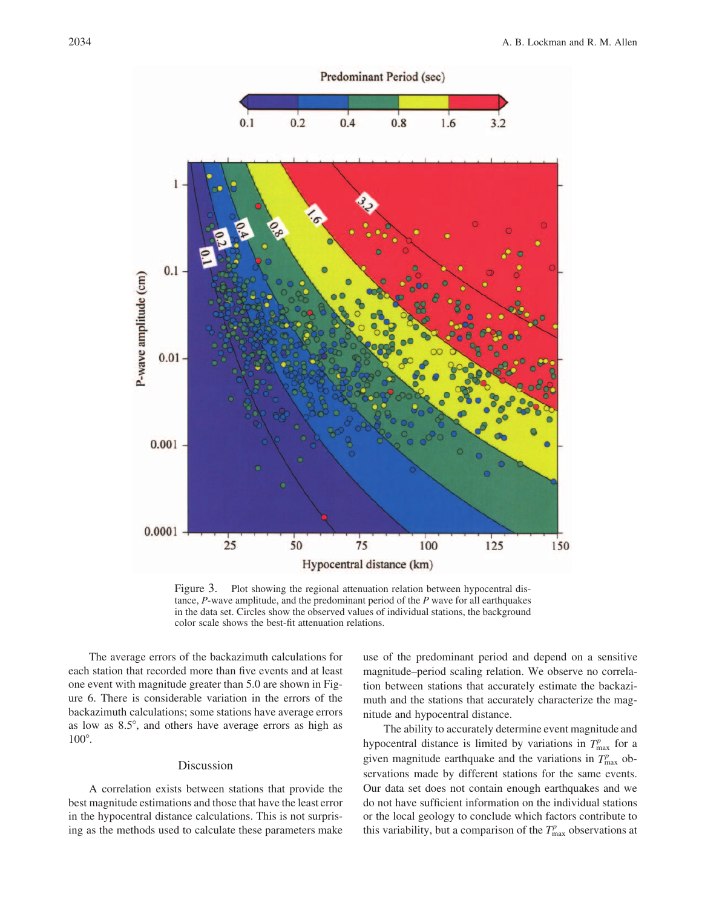

Figure 3. Plot showing the regional attenuation relation between hypocentral distance, *P*-wave amplitude, and the predominant period of the *P* wave for all earthquakes in the data set. Circles show the observed values of individual stations, the background color scale shows the best-fit attenuation relations.

The average errors of the backazimuth calculations for each station that recorded more than five events and at least one event with magnitude greater than 5.0 are shown in Figure 6. There is considerable variation in the errors of the backazimuth calculations; some stations have average errors as low as  $8.5^{\circ}$ , and others have average errors as high as 100°.

#### Discussion

A correlation exists between stations that provide the best magnitude estimations and those that have the least error in the hypocentral distance calculations. This is not surprising as the methods used to calculate these parameters make use of the predominant period and depend on a sensitive magnitude–period scaling relation. We observe no correlation between stations that accurately estimate the backazimuth and the stations that accurately characterize the magnitude and hypocentral distance.

The ability to accurately determine event magnitude and hypocentral distance is limited by variations in  $T_{\text{max}}^p$  for a given magnitude earthquake and the variations in  $T_{\text{max}}^p$  observations made by different stations for the same events. Our data set does not contain enough earthquakes and we do not have sufficient information on the individual stations or the local geology to conclude which factors contribute to this variability, but a comparison of the  $T_{\text{max}}^p$  observations at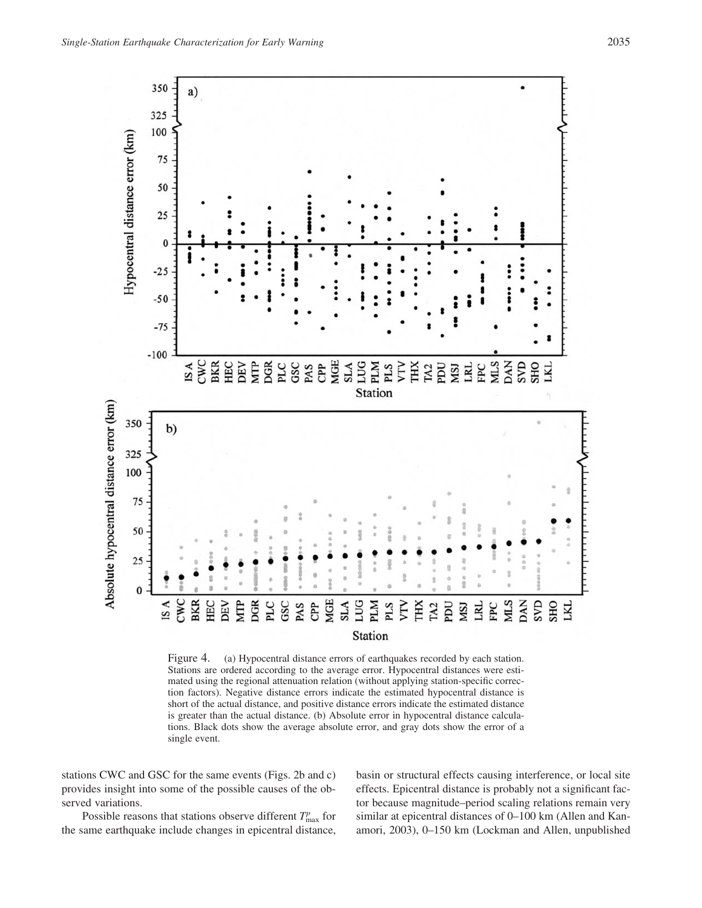

Figure 4. (a) Hypocentral distance errors of earthquakes recorded by each station. Stations are ordered according to the average error. Hypocentral distances were estimated using the regional attenuation relation (without applying station-specific correction factors). Negative distance errors indicate the estimated hypocentral distance is short of the actual distance, and positive distance errors indicate the estimated distance is greater than the actual distance. (b) Absolute error in hypocentral distance calculations. Black dots show the average absolute error, and gray dots show the error of a single event.

stations CWC and GSC for the same events (Figs. 2b and c) provides insight into some of the possible causes of the observed variations.

Possible reasons that stations observe different  $T_{\text{max}}^p$  for the same earthquake include changes in epicentral distance, basin or structural effects causing interference, or local site effects. Epicentral distance is probably not a significant factor because magnitude–period scaling relations remain very similar at epicentral distances of 0–100 km (Allen and Kanamori, 2003), 0–150 km (Lockman and Allen, unpublished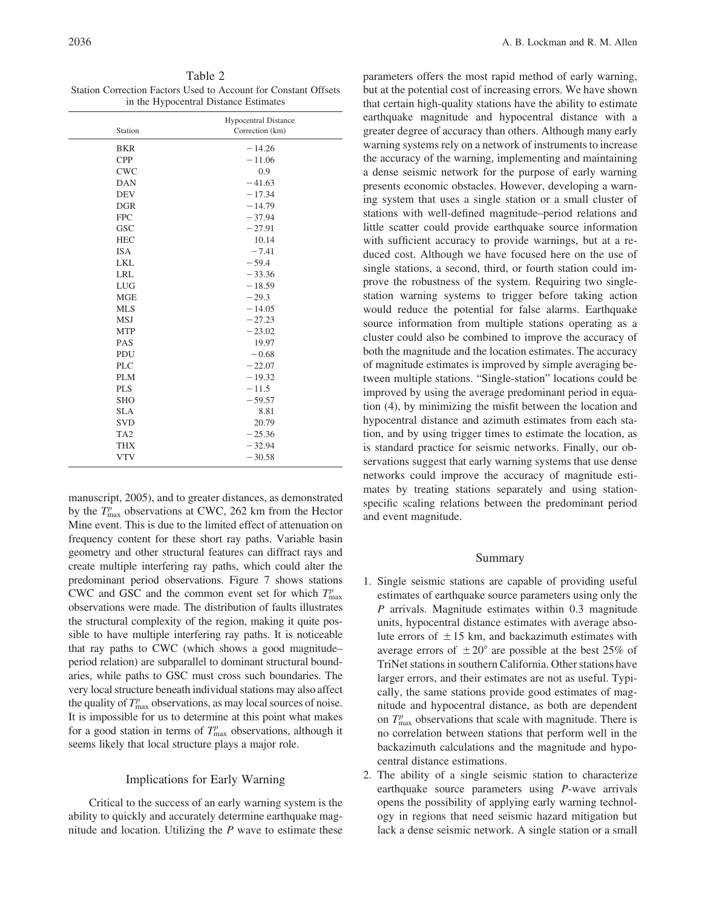Table 2 Station Correction Factors Used to Account for Constant Offsets in the Hypocentral Distance Estimates

|                 | <b>Hypocentral Distance</b> |  |
|-----------------|-----------------------------|--|
| Station         | Correction (km)             |  |
| <b>BKR</b>      | $-14.26$                    |  |
| <b>CPP</b>      | $-11.06$                    |  |
| <b>CWC</b>      | 0.9                         |  |
| <b>DAN</b>      | $-41.63$                    |  |
| <b>DEV</b>      | $-17.34$                    |  |
| <b>DGR</b>      | $-14.79$                    |  |
| <b>FPC</b>      | $-37.94$                    |  |
| <b>GSC</b>      | $-27.91$                    |  |
| <b>HEC</b>      | 10.14                       |  |
| <b>ISA</b>      | $-7.41$                     |  |
| <b>LKL</b>      | $-59.4$                     |  |
| <b>LRL</b>      | $-33.36$                    |  |
| <b>LUG</b>      | $-18.59$                    |  |
| <b>MGE</b>      | $-29.3$                     |  |
| <b>MLS</b>      | $-14.05$                    |  |
| <b>MSJ</b>      | $-27.23$                    |  |
| <b>MTP</b>      | $-23.02$                    |  |
| PAS             | 19.97                       |  |
| PDU             | $-0.68$                     |  |
| <b>PLC</b>      | $-22.07$                    |  |
| <b>PLM</b>      | $-19.32$                    |  |
| <b>PLS</b>      | $-11.5$                     |  |
| <b>SHO</b>      | $-59.57$                    |  |
| <b>SLA</b>      | 8.81                        |  |
| <b>SVD</b>      | 20.79                       |  |
| TA <sub>2</sub> | $-25.36$                    |  |
| <b>THX</b>      | $-32.94$                    |  |
| <b>VTV</b>      | $-30.58$                    |  |
|                 |                             |  |

manuscript, 2005), and to greater distances, as demonstrated by the  $T_{\text{max}}^p$  observations at CWC, 262 km from the Hector Mine event. This is due to the limited effect of attenuation on frequency content for these short ray paths. Variable basin geometry and other structural features can diffract rays and create multiple interfering ray paths, which could alter the predominant period observations. Figure 7 shows stations CWC and GSC and the common event set for which  $T_{\text{max}}^p$ observations were made. The distribution of faults illustrates the structural complexity of the region, making it quite possible to have multiple interfering ray paths. It is noticeable that ray paths to CWC (which shows a good magnitude– period relation) are subparallel to dominant structural boundaries, while paths to GSC must cross such boundaries. The very local structure beneath individual stations may also affect the quality of  $T_{\text{max}}^p$  observations, as may local sources of noise. It is impossible for us to determine at this point what makes for a good station in terms of  $T_{\text{max}}^p$  observations, although it seems likely that local structure plays a major role.

## Implications for Early Warning

Critical to the success of an early warning system is the ability to quickly and accurately determine earthquake magnitude and location. Utilizing the *P* wave to estimate these parameters offers the most rapid method of early warning, but at the potential cost of increasing errors. We have shown that certain high-quality stations have the ability to estimate earthquake magnitude and hypocentral distance with a greater degree of accuracy than others. Although many early warning systems rely on a network of instruments to increase the accuracy of the warning, implementing and maintaining a dense seismic network for the purpose of early warning presents economic obstacles. However, developing a warning system that uses a single station or a small cluster of stations with well-defined magnitude–period relations and little scatter could provide earthquake source information with sufficient accuracy to provide warnings, but at a reduced cost. Although we have focused here on the use of single stations, a second, third, or fourth station could improve the robustness of the system. Requiring two singlestation warning systems to trigger before taking action would reduce the potential for false alarms. Earthquake source information from multiple stations operating as a cluster could also be combined to improve the accuracy of both the magnitude and the location estimates. The accuracy of magnitude estimates is improved by simple averaging between multiple stations. "Single-station" locations could be improved by using the average predominant period in equation (4), by minimizing the misfit between the location and hypocentral distance and azimuth estimates from each station, and by using trigger times to estimate the location, as is standard practice for seismic networks. Finally, our observations suggest that early warning systems that use dense networks could improve the accuracy of magnitude estimates by treating stations separately and using stationspecific scaling relations between the predominant period and event magnitude.

#### Summary

- 1. Single seismic stations are capable of providing useful estimates of earthquake source parameters using only the *P* arrivals. Magnitude estimates within 0.3 magnitude units, hypocentral distance estimates with average absolute errors of  $\pm 15$  km, and backazimuth estimates with average errors of  $\pm 20^{\circ}$  are possible at the best 25% of TriNet stations in southern California. Other stations have larger errors, and their estimates are not as useful. Typically, the same stations provide good estimates of magnitude and hypocentral distance, as both are dependent on  $T_{\text{max}}^p$  observations that scale with magnitude. There is no correlation between stations that perform well in the backazimuth calculations and the magnitude and hypocentral distance estimations.
- 2. The ability of a single seismic station to characterize earthquake source parameters using *P*-wave arrivals opens the possibility of applying early warning technology in regions that need seismic hazard mitigation but lack a dense seismic network. A single station or a small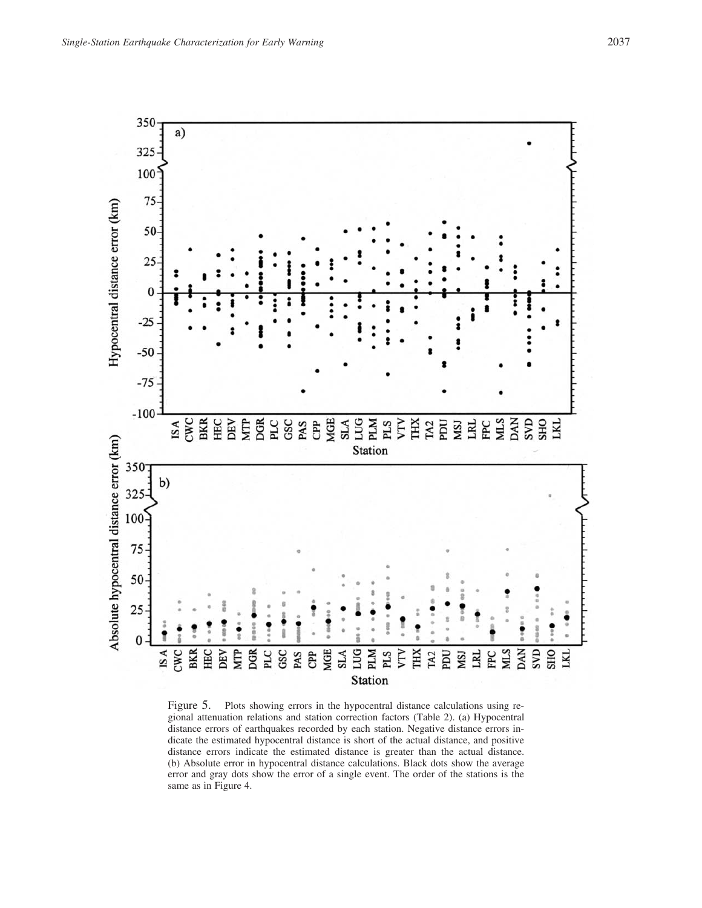

Figure 5. Plots showing errors in the hypocentral distance calculations using regional attenuation relations and station correction factors (Table 2). (a) Hypocentral distance errors of earthquakes recorded by each station. Negative distance errors indicate the estimated hypocentral distance is short of the actual distance, and positive distance errors indicate the estimated distance is greater than the actual distance. (b) Absolute error in hypocentral distance calculations. Black dots show the average error and gray dots show the error of a single event. The order of the stations is the same as in Figure 4.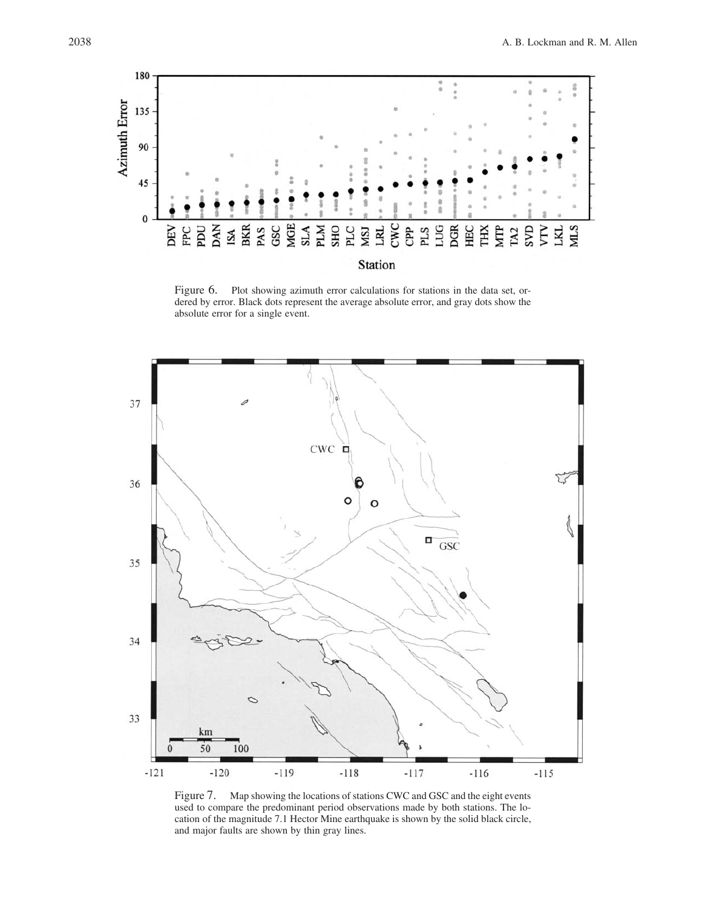

Figure 6. Plot showing azimuth error calculations for stations in the data set, ordered by error. Black dots represent the average absolute error, and gray dots show the absolute error for a single event.



Figure 7. Map showing the locations of stations CWC and GSC and the eight events used to compare the predominant period observations made by both stations. The location of the magnitude 7.1 Hector Mine earthquake is shown by the solid black circle, and major faults are shown by thin gray lines.